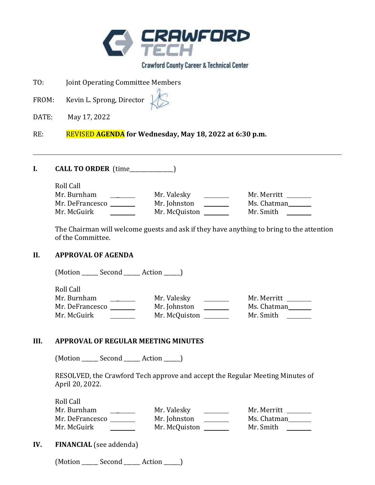

**Crawford County Career & Technical Center** 

- TO: Joint Operating Committee Members
- FROM: Kevin L. Sprong, Director

DATE: May 17, 2022

RE: REVISED **AGENDA for Wednesday, May 18, 2022 at 6:30 p.m.** 

**I. CALL TO ORDER** (time\_\_\_\_\_\_\_\_\_\_\_\_\_\_\_\_)

Roll Call

| Mr. Burnham     | Mr. Valesky   | Mr. Merritt |
|-----------------|---------------|-------------|
| Mr. DeFrancesco | Mr. Johnston  | Ms. Chatman |
| Mr. McGuirk     | Mr. McQuiston | Mr. Smith   |

The Chairman will welcome guests and ask if they have anything to bring to the attention of the Committee.

#### **II. APPROVAL OF AGENDA**

(Motion \_\_\_\_\_\_ Second \_\_\_\_\_\_ Action \_\_\_\_\_\_)

Roll Call Mr. Burnham \_ Mr. Valesky Mr. Merritt Mr. DeFrancesco Mr. Johnston Ms. Chatman Mr. McGuirk Mr. McQuiston Mr. Smith

#### **III. APPROVAL OF REGULAR MEETING MINUTES**

(Motion Second Action )

RESOLVED, the Crawford Tech approve and accept the Regular Meeting Minutes of April 20, 2022.

Roll Call Mr. Burnham \_ Mr. Valesky Mr. Merritt Mr. DeFrancesco Mr. Johnston Ms. Chatman Mr. McGuirk Mr. McQuiston Mr. Smith

**IV. FINANCIAL** (see addenda)

(Motion \_\_\_\_\_\_ Second \_\_\_\_\_\_ Action \_\_\_\_\_\_)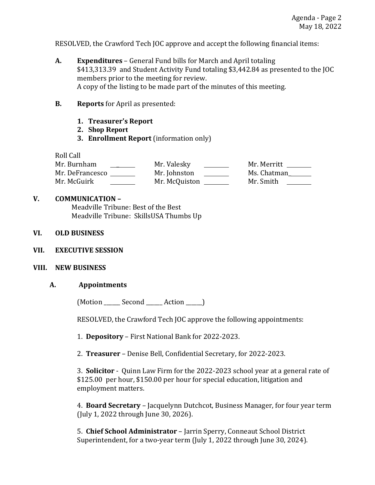RESOLVED, the Crawford Tech JOC approve and accept the following financial items:

- **A. Expenditures**  General Fund bills for March and April totaling \$413,313.39 and Student Activity Fund totaling \$3,442.84 as presented to the JOC members prior to the meeting for review. A copy of the listing to be made part of the minutes of this meeting.
- **B. Reports** for April as presented:
	- **1. Treasurer's Report**
	- **2. Shop Report**
	- **3. Enrollment Report** (information only)

Roll Call

| Mr. Burnham     | Mr. Valesky   | Mr. Merritt |
|-----------------|---------------|-------------|
| Mr. DeFrancesco | Mr. Johnston  | Ms. Chatman |
| Mr. McGuirk     | Mr. McQuiston | Mr. Smith   |

### **V. COMMUNICATION –**

Meadville Tribune: Best of the Best Meadville Tribune: SkillsUSA Thumbs Up

## **VI. OLD BUSINESS**

**VII. EXECUTIVE SESSION**

## **VIII. NEW BUSINESS**

#### **A. Appointments**

(Motion Second Action )

RESOLVED, the Crawford Tech JOC approve the following appointments:

1. **Depository** – First National Bank for 2022-2023.

2. **Treasurer** – Denise Bell, Confidential Secretary, for 2022-2023.

3. **Solicitor** - Quinn Law Firm for the 2022-2023 school year at a general rate of \$125.00 per hour, \$150.00 per hour for special education, litigation and employment matters.

4. **Board Secretary** – Jacquelynn Dutchcot, Business Manager, for four year term (July 1, 2022 through June 30, 2026).

5. **Chief School Administrator** – Jarrin Sperry, Conneaut School District Superintendent, for a two-year term (July 1, 2022 through June 30, 2024).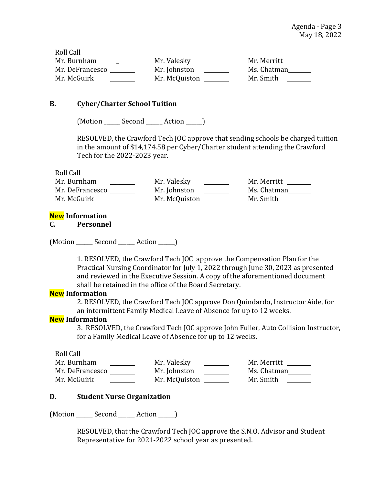Roll Call Mr. Burnham \_\_\_\_\_\_\_\_\_ Mr. Valesky \_\_\_\_\_\_\_ Mr. Merritt \_\_\_\_\_\_ Mr. DeFrancesco Mr. Johnston Ms. Chatman Mr. McGuirk **Mr. McQuiston** Mr. McQuiston Mr. Smith

#### **B. Cyber/Charter School Tuition**

(Motion \_\_\_\_\_\_ Second \_\_\_\_\_\_ Action \_\_\_\_\_\_)

RESOLVED, the Crawford Tech JOC approve that sending schools be charged tuition in the amount of \$14,174.58 per Cyber/Charter student attending the Crawford Tech for the 2022-2023 year.

Roll Call

| Mr. Burnham     | Mr. Valesky   | Mr. Merritt |
|-----------------|---------------|-------------|
| Mr. DeFrancesco | Mr. Johnston  | Ms. Chatman |
| Mr. McGuirk     | Mr. McQuiston | Mr. Smith   |

#### **New Information**

**C. Personnel**

(Motion \_\_\_\_\_\_ Second \_\_\_\_\_\_ Action \_\_\_\_\_\_)

1. RESOLVED, the Crawford Tech JOC approve the Compensation Plan for the Practical Nursing Coordinator for July 1, 2022 through June 30, 2023 as presented and reviewed in the Executive Session. A copy of the aforementioned document shall be retained in the office of the Board Secretary.

#### **New Information**

2. RESOLVED, the Crawford Tech JOC approve Don Quindardo, Instructor Aide, for an intermittent Family Medical Leave of Absence for up to 12 weeks.

#### **New Information**

3.RESOLVED, the Crawford Tech JOC approve John Fuller, Auto Collision Instructor, for a Family Medical Leave of Absence for up to 12 weeks.

Roll Call

| Mr. Burnham     | Mr. Valesky   | Mr. Merritt |
|-----------------|---------------|-------------|
| Mr. DeFrancesco | Mr. Johnston  | Ms. Chatman |
| Mr. McGuirk     | Mr. McQuiston | Mr. Smith   |

#### **D. Student Nurse Organization**

(Motion \_\_\_\_\_\_ Second \_\_\_\_\_\_ Action \_\_\_\_\_\_)

RESOLVED, that the Crawford Tech JOC approve the S.N.O. Advisor and Student Representative for 2021-2022 school year as presented.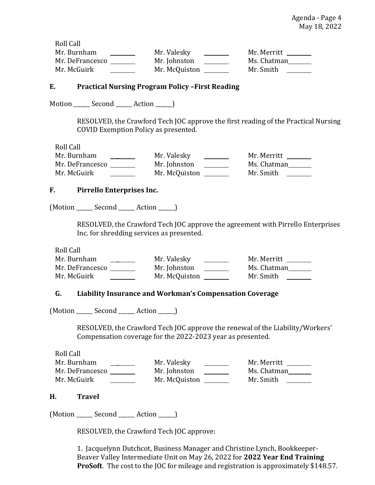Roll Call Mr. Burnham \_ Mr. Valesky Mr. Merritt Mr. DeFrancesco Mr. Johnston Ms. Chatman Mr. McGuirk Mr. McQuiston Mr. Smith

## **E. Practical Nursing Program Policy –First Reading**

Motion \_\_\_\_\_\_ Second \_\_\_\_\_\_ Action \_\_\_\_\_\_)

RESOLVED, the Crawford Tech JOC approve the first reading of the Practical Nursing COVID Exemption Policy as presented.

Roll Call

| Mr. Burnham     | Mr. Valesky   | Mr. Merritt |
|-----------------|---------------|-------------|
| Mr. DeFrancesco | Mr. Johnston  | Ms. Chatman |
| Mr. McGuirk     | Mr. McQuiston | Mr. Smith   |

#### **F. Pirrello Enterprises Inc.**

(Motion \_\_\_\_\_\_ Second \_\_\_\_\_\_ Action \_\_\_\_\_\_)

RESOLVED, the Crawford Tech JOC approve the agreement with Pirrello Enterprises Inc. for shredding services as presented.

Roll Call

| Mr. Burnham     | Mr. Valesky   | Mr. Merritt |
|-----------------|---------------|-------------|
| Mr. DeFrancesco | Mr. Johnston  | Ms. Chatman |
| Mr. McGuirk     | Mr. McQuiston | Mr. Smith   |

# **G. Liability Insurance and Workman's Compensation Coverage**

(Motion Second Action )

RESOLVED, the Crawford Tech JOC approve the renewal of the Liability/Workers' Compensation coverage for the 2022-2023 year as presented.

Roll Call Mr. Burnham \_ Mr. Valesky Mr. Merritt Mr. DeFrancesco Mr. Johnston Ms. Chatman Mr. McGuirk \_\_\_\_\_\_\_\_\_\_ Mr. McQuiston \_\_\_\_\_\_\_ Mr. Smith \_\_\_\_\_

#### **H. Travel**

(Motion \_\_\_\_\_\_ Second \_\_\_\_\_\_ Action \_\_\_\_\_\_)

RESOLVED, the Crawford Tech JOC approve:

1. Jacquelynn Dutchcot, Business Manager and Christine Lynch, Bookkeeper-Beaver Valley Intermediate Unit on May 26, 2022 for **2022 Year End Training ProSoft**. The cost to the JOC for mileage and registration is approximately \$148.57.